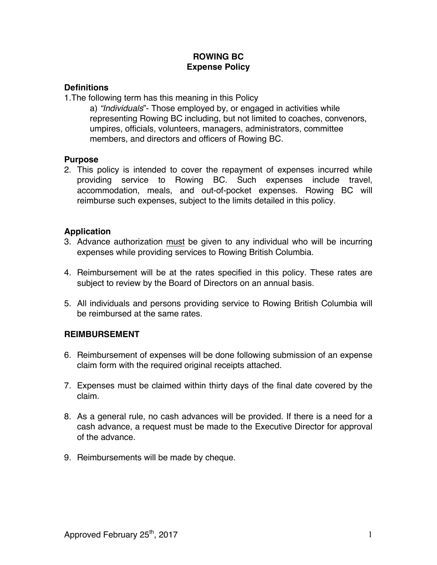### **ROWING BC Expense Policy**

## **Definitions**

1.The following term has this meaning in this Policy

a) *"Individuals*"- Those employed by, or engaged in activities while representing Rowing BC including, but not limited to coaches, convenors, umpires, officials, volunteers, managers, administrators, committee members, and directors and officers of Rowing BC.

#### **Purpose**

2. This policy is intended to cover the repayment of expenses incurred while providing service to Rowing BC. Such expenses include travel, accommodation, meals, and out-of-pocket expenses. Rowing BC will reimburse such expenses, subject to the limits detailed in this policy.

# **Application**

- 3. Advance authorization must be given to any individual who will be incurring expenses while providing services to Rowing British Columbia.
- 4. Reimbursement will be at the rates specified in this policy. These rates are subject to review by the Board of Directors on an annual basis.
- 5. All individuals and persons providing service to Rowing British Columbia will be reimbursed at the same rates.

# **REIMBURSEMENT**

- 6. Reimbursement of expenses will be done following submission of an expense claim form with the required original receipts attached.
- 7. Expenses must be claimed within thirty days of the final date covered by the claim.
- 8. As a general rule, no cash advances will be provided. If there is a need for a cash advance, a request must be made to the Executive Director for approval of the advance.
- 9. Reimbursements will be made by cheque.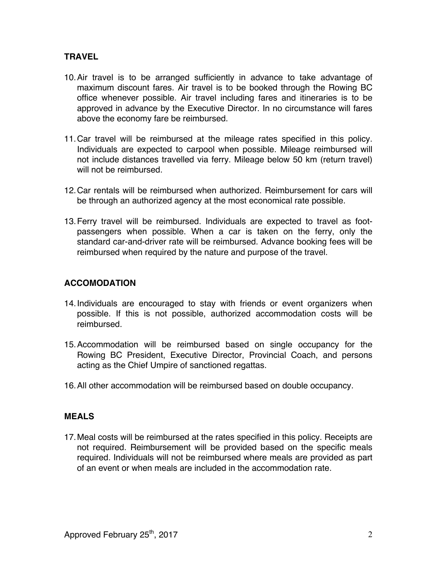# **TRAVEL**

- 10.Air travel is to be arranged sufficiently in advance to take advantage of maximum discount fares. Air travel is to be booked through the Rowing BC office whenever possible. Air travel including fares and itineraries is to be approved in advance by the Executive Director. In no circumstance will fares above the economy fare be reimbursed.
- 11.Car travel will be reimbursed at the mileage rates specified in this policy. Individuals are expected to carpool when possible. Mileage reimbursed will not include distances travelled via ferry. Mileage below 50 km (return travel) will not be reimbursed.
- 12.Car rentals will be reimbursed when authorized. Reimbursement for cars will be through an authorized agency at the most economical rate possible.
- 13.Ferry travel will be reimbursed. Individuals are expected to travel as footpassengers when possible. When a car is taken on the ferry, only the standard car-and-driver rate will be reimbursed. Advance booking fees will be reimbursed when required by the nature and purpose of the travel.

# **ACCOMODATION**

- 14.Individuals are encouraged to stay with friends or event organizers when possible. If this is not possible, authorized accommodation costs will be reimbursed.
- 15.Accommodation will be reimbursed based on single occupancy for the Rowing BC President, Executive Director, Provincial Coach, and persons acting as the Chief Umpire of sanctioned regattas.
- 16.All other accommodation will be reimbursed based on double occupancy.

#### **MEALS**

17.Meal costs will be reimbursed at the rates specified in this policy. Receipts are not required. Reimbursement will be provided based on the specific meals required. Individuals will not be reimbursed where meals are provided as part of an event or when meals are included in the accommodation rate.